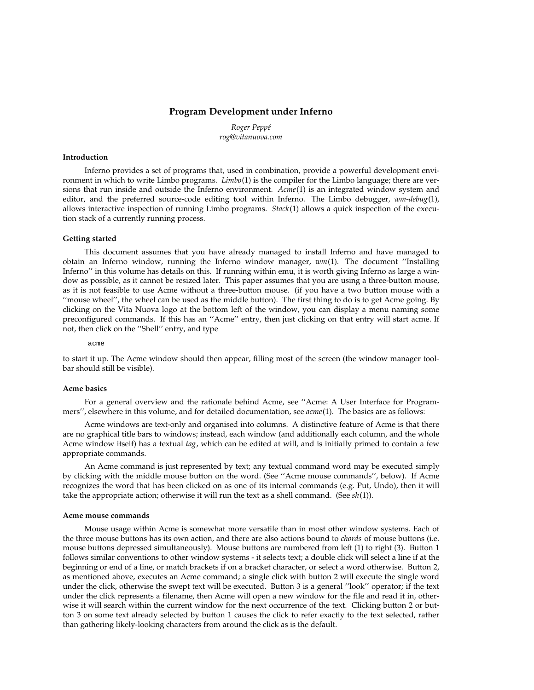# **Program Development under Inferno**

*Roger Peppé rog@vitanuova.com*

# **Introduction**

Inferno provides a set of programs that, used in combination, provide a powerful development environment in which to write Limbo programs. *Limbo*(1) is the compiler for the Limbo language; there are versions that run inside and outside the Inferno environment. *Acme*(1) is an integrated window system and editor, and the preferred source-code editing tool within Inferno. The Limbo debugger, *wm-debug*(1), allows interactive inspection of running Limbo programs. *Stack*(1) allows a quick inspection of the execution stack of a currently running process.

## **Getting started**

This document assumes that you have already managed to install Inferno and have managed to obtain an Inferno window, running the Inferno window manager, *wm*(1). The document ''Installing Inferno'' in this volume has details on this. If running within emu, it is worth giving Inferno as large a window as possible, as it cannot be resized later. This paper assumes that you are using a three-button mouse, as it is not feasible to use Acme without a three-button mouse. (if you have a two button mouse with a ''mouse wheel'', the wheel can be used as the middle button). The first thing to do is to get Acme going. By clicking on the Vita Nuova logo at the bottom left of the window, you can display a menu naming some preconfigured commands. If this has an ''Acme'' entry, then just clicking on that entry will start acme. If not, then click on the ''Shell'' entry, and type

acme

to start it up. The Acme window should then appear, filling most of the screen (the window manager toolbar should still be visible).

# **Acme basics**

For a general overview and the rationale behind Acme, see ''Acme: A User Interface for Programmers'', elsewhere in this volume, and for detailed documentation, see *acme*(1). The basics are as follows:

Acme windows are text-only and organised into columns. A distinctive feature of Acme is that there are no graphical title bars to windows; instead, each window (and additionally each column, and the whole Acme window itself) has a textual *tag*, which can be edited at will, and is initially primed to contain a few appropriate commands.

An Acme command is just represented by text; any textual command word may be executed simply by clicking with the middle mouse button on the word. (See ''Acme mouse commands'', below). If Acme recognizes the word that has been clicked on as one of its internal commands (e.g. Put, Undo), then it will take the appropriate action; otherwise it will run the text as a shell command. (See *sh*(1)).

#### **Acme mouse commands**

Mouse usage within Acme is somewhat more versatile than in most other window systems. Each of the three mouse buttons has its own action, and there are also actions bound to *chords* of mouse buttons (i.e. mouse buttons depressed simultaneously). Mouse buttons are numbered from left (1) to right (3). Button 1 follows similar conventions to other window systems - it selects text; a double click will select a line if at the beginning or end of a line, or match brackets if on a bracket character, or select a word otherwise. Button 2, as mentioned above, executes an Acme command; a single click with button 2 will execute the single word under the click, otherwise the swept text will be executed. Button 3 is a general ''look'' operator; if the text under the click represents a filename, then Acme will open a new window for the file and read it in, otherwise it will search within the current window for the next occurrence of the text. Clicking button 2 or button 3 on some text already selected by button 1 causes the click to refer exactly to the text selected, rather than gathering likely-looking characters from around the click as is the default.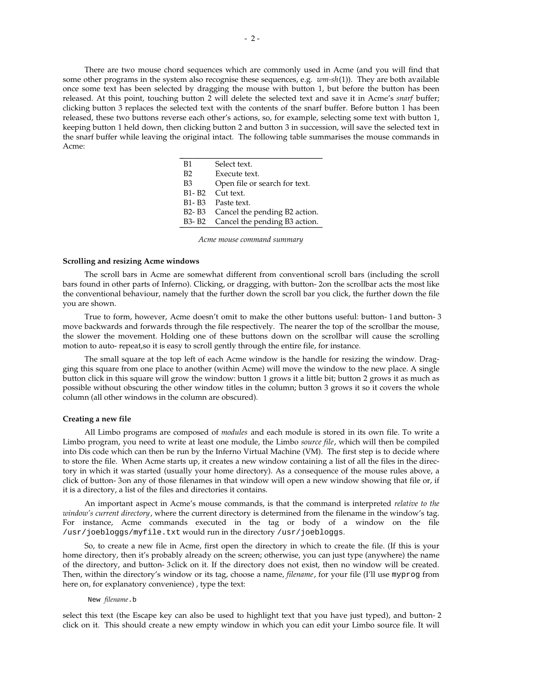There are two mouse chord sequences which are commonly used in Acme (and you will find that some other programs in the system also recognise these sequences, e.g. *wm-sh*(1)). They are both available once some text has been selected by dragging the mouse with button 1, but before the button has been released. At this point, touching button 2 will delete the selected text and save it in Acme's *snarf* buffer; clicking button 3 replaces the selected text with the contents of the snarf buffer. Before button 1 has been released, these two buttons reverse each other's actions, so, for example, selecting some text with button 1, keeping button 1 held down, then clicking button 2 and button 3 in succession, will save the selected text in the snarf buffer while leaving the original intact. The following table summarises the mouse commands in Acme:

| B1                              | Select text.                  |
|---------------------------------|-------------------------------|
| B2                              | Execute text.                 |
| B3                              | Open file or search for text. |
| B1-B2                           | Cut text.                     |
|                                 | B1-B3 Paste text.             |
| B <sub>2</sub> - B <sub>3</sub> | Cancel the pending B2 action. |
| B3- B2                          | Cancel the pending B3 action. |

*Acme mouse command summary*

### **Scrolling and resizing Acme windows**

The scroll bars in Acme are somewhat different from conventional scroll bars (including the scroll bars found in other parts of Inferno). Clicking, or dragging, with button-2on the scrollbar acts the most like the conventional behaviour, namely that the further down the scroll bar you click, the further down the file you are shown.

True to form, however, Acme doesn't omit to make the other buttons useful: button-1and button-3 move backwards and forwards through the file respectively. The nearer the top of the scrollbar the mouse, the slower the movement. Holding one of these buttons down on the scrollbar will cause the scrolling motion to auto-repeat,so it is easy to scroll gently through the entire file, for instance.

The small square at the top left of each Acme window is the handle for resizing the window. Dragging this square from one place to another (within Acme) will move the window to the new place. A single button click in this square will grow the window: button 1 grows it a little bit; button 2 grows it as much as possible without obscuring the other window titles in the column; button 3 grows it so it covers the whole column (all other windows in the column are obscured).

# **Creating a new file**

All Limbo programs are composed of *modules* and each module is stored in its own file. To write a Limbo program, you need to write at least one module, the Limbo *source file*, which will then be compiled into Dis code which can then be run by the Inferno Virtual Machine (VM). The first step is to decide where to store the file. When Acme starts up, it creates a new window containing a list of all the files in the directory in which it was started (usually your home directory). As a consequence of the mouse rules above, a click of button-3on any of those filenames in that window will open a new window showing that file or, if it is a directory, a list of the files and directories it contains.

An important aspect in Acme's mouse commands, is that the command is interpreted *relative to the window's current directory*, where the current directory is determined from the filename in the window's tag. For instance, Acme commands executed in the tag or body of a window on the file /usr/joebloggs/myfile.txt would run in the directory /usr/joebloggs.

So, to create a new file in Acme, first open the directory in which to create the file. (If this is your home directory, then it's probably already on the screen; otherwise, you can just type (anywhere) the name of the directory, and button-3click on it. If the directory does not exist, then no window will be created. Then, within the directory's window or its tag, choose a name, *filename*, for your file (I'll use myprog from here on, for explanatory convenience) , type the text:

# New *filename*.b

select this text (the Escape key can also be used to highlight text that you have just typed), and button-2 click on it. This should create a new empty window in which you can edit your Limbo source file. It will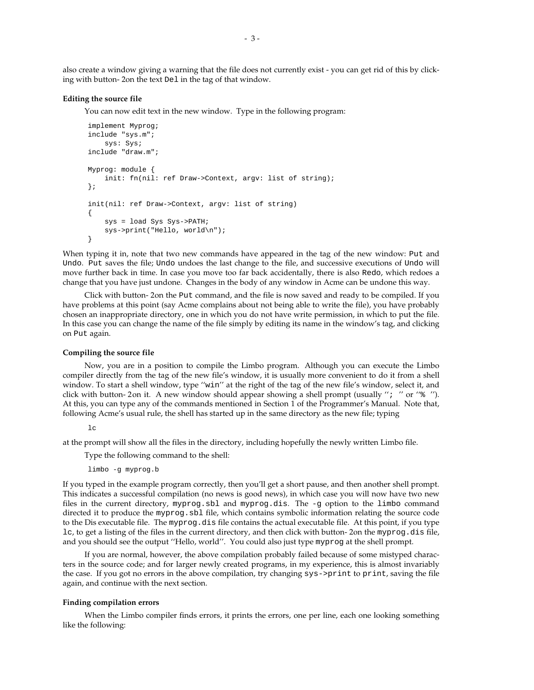also create a window giving a warning that the file does not currently exist - you can get rid of this by clicking with button-2on the text Del in the tag of that window.

### **Editing the source file**

You can now edit text in the new window. Type in the following program:

```
implement Myprog;
include "sys.m";
    sys: Sys;
include "draw.m";
Myprog: module {
    init: fn(nil: ref Draw->Context, argv: list of string);
};
init(nil: ref Draw->Context, argv: list of string)
{
    sys = load Sys Sys->PATH;
    sys->print("Hello, world\n");
}
```
When typing it in, note that two new commands have appeared in the tag of the new window: Put and Undo. Put saves the file; Undo undoes the last change to the file, and successive executions of Undo will move further back in time. In case you move too far back accidentally, there is also Redo, which redoes a change that you have just undone. Changes in the body of any window in Acme can be undone this way.

Click with button-2on the Put command, and the file is now saved and ready to be compiled. If you have problems at this point (say Acme complains about not being able to write the file), you have probably chosen an inappropriate directory, one in which you do not have write permission, in which to put the file. In this case you can change the name of the file simply by editing its name in the window's tag, and clicking on Put again.

### **Compiling the source file**

Now, you are in a position to compile the Limbo program. Although you can execute the Limbo compiler directly from the tag of the new file's window, it is usually more convenient to do it from a shell window. To start a shell window, type ''win'' at the right of the tag of the new file's window, select it, and click with button-2on it. A new window should appear showing a shell prompt (usually "; " or " $\frac{1}{8}$  "). At this, you can type any of the commands mentioned in Section 1 of the Programmer's Manual. Note that, following Acme's usual rule, the shell has started up in the same directory as the new file; typing

 $\overline{1}$ c

at the prompt will show all the files in the directory, including hopefully the newly written Limbo file.

Type the following command to the shell:

limbo -g myprog.b

If you typed in the example program correctly, then you'll get a short pause, and then another shell prompt. This indicates a successful compilation (no news is good news), in which case you will now have two new files in the current directory, myprog.sbl and myprog.dis. The -g option to the limbo command directed it to produce the myprog.sbl file, which contains symbolic information relating the source code to the Dis executable file. The myprog.dis file contains the actual executable file. At this point, if you type lc, to get a listing of the files in the current directory, and then click with button-2on the myprog.dis file, and you should see the output ''Hello, world''. You could also just type myprog at the shell prompt.

If you are normal, however, the above compilation probably failed because of some mistyped characters in the source code; and for larger newly created programs, in my experience, this is almost invariably the case. If you got no errors in the above compilation, try changing sys->print to print, saving the file again, and continue with the next section.

# **Finding compilation errors**

When the Limbo compiler finds errors, it prints the errors, one per line, each one looking something like the following: